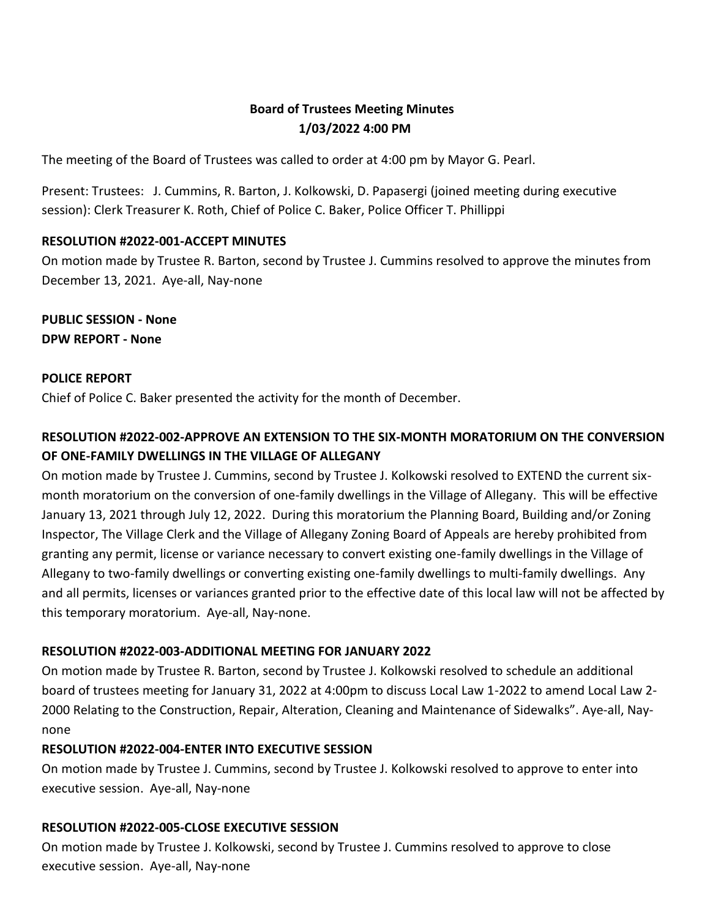## **Board of Trustees Meeting Minutes 1/03/2022 4:00 PM**

The meeting of the Board of Trustees was called to order at 4:00 pm by Mayor G. Pearl.

Present: Trustees: J. Cummins, R. Barton, J. Kolkowski, D. Papasergi (joined meeting during executive session): Clerk Treasurer K. Roth, Chief of Police C. Baker, Police Officer T. Phillippi

### **RESOLUTION #2022-001-ACCEPT MINUTES**

On motion made by Trustee R. Barton, second by Trustee J. Cummins resolved to approve the minutes from December 13, 2021. Aye-all, Nay-none

**PUBLIC SESSION - None DPW REPORT - None**

#### **POLICE REPORT**

Chief of Police C. Baker presented the activity for the month of December.

# **RESOLUTION #2022-002-APPROVE AN EXTENSION TO THE SIX-MONTH MORATORIUM ON THE CONVERSION OF ONE-FAMILY DWELLINGS IN THE VILLAGE OF ALLEGANY**

On motion made by Trustee J. Cummins, second by Trustee J. Kolkowski resolved to EXTEND the current sixmonth moratorium on the conversion of one-family dwellings in the Village of Allegany. This will be effective January 13, 2021 through July 12, 2022. During this moratorium the Planning Board, Building and/or Zoning Inspector, The Village Clerk and the Village of Allegany Zoning Board of Appeals are hereby prohibited from granting any permit, license or variance necessary to convert existing one-family dwellings in the Village of Allegany to two-family dwellings or converting existing one-family dwellings to multi-family dwellings. Any and all permits, licenses or variances granted prior to the effective date of this local law will not be affected by this temporary moratorium. Aye-all, Nay-none.

#### **RESOLUTION #2022-003-ADDITIONAL MEETING FOR JANUARY 2022**

On motion made by Trustee R. Barton, second by Trustee J. Kolkowski resolved to schedule an additional board of trustees meeting for January 31, 2022 at 4:00pm to discuss Local Law 1-2022 to amend Local Law 2- 2000 Relating to the Construction, Repair, Alteration, Cleaning and Maintenance of Sidewalks". Aye-all, Naynone

#### **RESOLUTION #2022-004-ENTER INTO EXECUTIVE SESSION**

On motion made by Trustee J. Cummins, second by Trustee J. Kolkowski resolved to approve to enter into executive session. Aye-all, Nay-none

#### **RESOLUTION #2022-005-CLOSE EXECUTIVE SESSION**

On motion made by Trustee J. Kolkowski, second by Trustee J. Cummins resolved to approve to close executive session. Aye-all, Nay-none